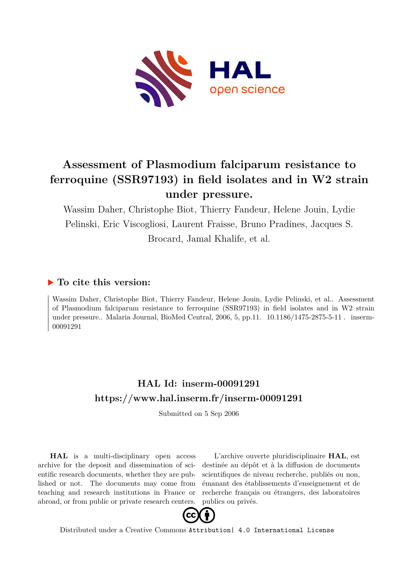

# **Assessment of Plasmodium falciparum resistance to ferroquine (SSR97193) in field isolates and in W2 strain under pressure.**

Wassim Daher, Christophe Biot, Thierry Fandeur, Helene Jouin, Lydie Pelinski, Eric Viscogliosi, Laurent Fraisse, Bruno Pradines, Jacques S. Brocard, Jamal Khalife, et al.

# **To cite this version:**

Wassim Daher, Christophe Biot, Thierry Fandeur, Helene Jouin, Lydie Pelinski, et al.. Assessment of Plasmodium falciparum resistance to ferroquine (SSR97193) in field isolates and in W2 strain under pressure.. Malaria Journal, BioMed Central, 2006, 5, pp.11.  $10.1186/1475-2875-5-11$ . inserm-00091291ff

# **HAL Id: inserm-00091291 <https://www.hal.inserm.fr/inserm-00091291>**

Submitted on 5 Sep 2006

**HAL** is a multi-disciplinary open access archive for the deposit and dissemination of scientific research documents, whether they are published or not. The documents may come from teaching and research institutions in France or abroad, or from public or private research centers.

L'archive ouverte pluridisciplinaire **HAL**, est destinée au dépôt et à la diffusion de documents scientifiques de niveau recherche, publiés ou non, émanant des établissements d'enseignement et de recherche français ou étrangers, des laboratoires publics ou privés.



Distributed under a Creative Commons [Attribution| 4.0 International License](http://creativecommons.org/licenses/by/4.0/)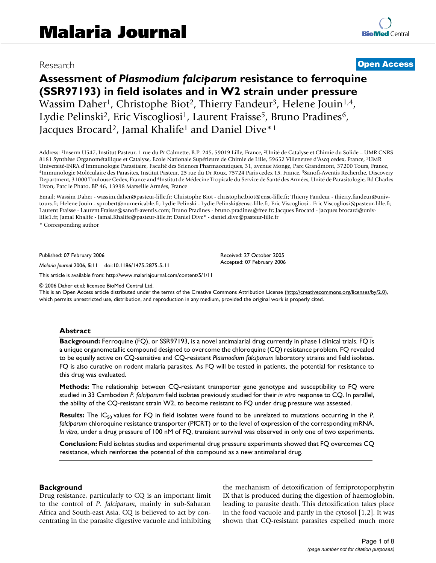# Research [Open Access](http://www.biomedcentral.com/info/about/charter/)

# **Assessment of** *Plasmodium falciparum* **resistance to ferroquine (SSR97193) in field isolates and in W2 strain under pressure** Wassim Daher<sup>1</sup>, Christophe Biot<sup>2</sup>, Thierry Fandeur<sup>3</sup>, Helene Jouin<sup>1,4</sup>, Lydie Pelinski<sup>2</sup>, Eric Viscogliosi<sup>1</sup>, Laurent Fraisse<sup>5</sup>, Bruno Pradines<sup>6</sup>, Jacques Brocard<sup>2</sup>, Jamal Khalife<sup>1</sup> and Daniel Dive<sup>\*1</sup>

Address: <sup>1</sup>Inserm U547, Institut Pasteur, 1 rue du Pr Calmette, B.P. 245, 59019 Lille, France, <sup>2</sup>Unité de Catalyse et Chimie du Solide – UMR CNRS 8181 Synthèse Organométallique et Catalyse, Ecole Nationale Supérieure de Chimie de Lille, 59652 Villeneuve d'Ascq cedex, France, <sup>3</sup>UMR Université-INRA d'Immunologie Parasitaire, Faculté des Sciences Pharmaceutiques, 31, avenue Monge, Parc Grandmont, 37200 Tours, France, <sup>4</sup>Immunologie Moléculaire des Parasites, Institut Pasteur, 25 rue du Dr Roux, 75724 Paris cedex 15, France, <sup>5</sup>Sanofi-Aventis Recherche, Discovery Department, 31000 Toulouse Cedex, France and <sup>6</sup>Institut de Médecine Tropicale du Service de Santé des Armées, Unité de Parasitologie, Bd Charles Livon, Parc le Pharo, BP 46, 13998 Marseille Armées, France

Email: Wassim Daher - wassim.daher@pasteur-lille.fr; Christophe Biot - christophe.biot@ensc-lille.fr; Thierry Fandeur - thierry.fandeur@univtours.fr; Helene Jouin - sprobert@numericable.fr; Lydie Pelinski - Lydie.Pelinski@ensc-lille.fr; Eric Viscogliosi - Eric.Viscogliosi@pasteur-lille.fr; Laurent Fraisse - Laurent.Fraisse@sanofi-aventis.com; Bruno Pradines - bruno.pradines@free.fr; Jacques Brocard - jacques.brocard@univlille1.fr; Jamal Khalife - Jamal.Khalife@pasteur-lille.fr; Daniel Dive\* - daniel.dive@pasteur-lille.fr

> Received: 27 October 2005 Accepted: 07 February 2006

\* Corresponding author

Published: 07 February 2006

*Malaria Journal* 2006, **5**:11 doi:10.1186/1475-2875-5-11

[This article is available from: http://www.malariajournal.com/content/5/1/11](http://www.malariajournal.com/content/5/1/11)

© 2006 Daher et al; licensee BioMed Central Ltd.

This is an Open Access article distributed under the terms of the Creative Commons Attribution License [\(http://creativecommons.org/licenses/by/2.0\)](http://creativecommons.org/licenses/by/2.0), which permits unrestricted use, distribution, and reproduction in any medium, provided the original work is properly cited.

#### **Abstract**

**Background:** Ferroquine (FQ), or SSR97193, is a novel antimalarial drug currently in phase I clinical trials. FQ is a unique organometallic compound designed to overcome the chloroquine (CQ) resistance problem. FQ revealed to be equally active on CQ-sensitive and CQ-resistant *Plasmodium falciparum* laboratory strains and field isolates. FQ is also curative on rodent malaria parasites. As FQ will be tested in patients, the potential for resistance to this drug was evaluated.

**Methods:** The relationship between CQ-resistant transporter gene genotype and susceptibility to FQ were studied in 33 Cambodian *P. falciparum* field isolates previously studied for their *in vitro* response to CQ. In parallel, the ability of the CQ-resistant strain W2, to become resistant to FQ under drug pressure was assessed.

**Results:** The IC<sub>50</sub> values for FQ in field isolates were found to be unrelated to mutations occurring in the *P*. *falciparum* chloroquine resistance transporter (PfCRT) or to the level of expression of the corresponding mRNA. *In vitro*, under a drug pressure of 100 nM of FQ, transient survival was observed in only one of two experiments.

**Conclusion:** Field isolates studies and experimental drug pressure experiments showed that FQ overcomes CQ resistance, which reinforces the potential of this compound as a new antimalarial drug.

#### **Background**

Drug resistance, particularly to CQ is an important limit to the control of *P. falciparum*, mainly in sub-Saharan Africa and South-east Asia. CQ is believed to act by concentrating in the parasite digestive vacuole and inhibiting the mechanism of detoxification of ferriprotoporphyrin IX that is produced during the digestion of haemoglobin, leading to parasite death. This detoxification takes place in the food vacuole and partly in the cytosol [1,2]. It was shown that CQ-resistant parasites expelled much more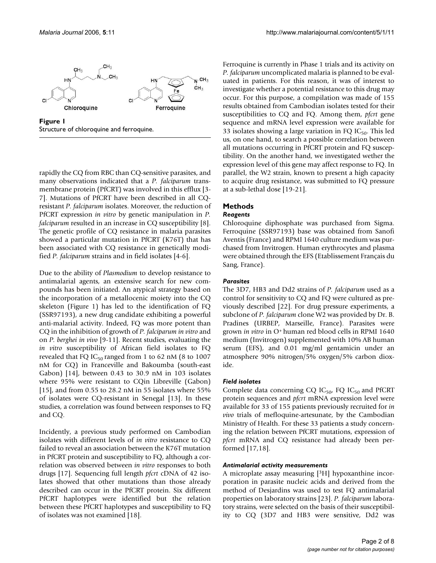

**Figure 1** Structure of chloroquine and ferroquine.

rapidly the CQ from RBC than CQ-sensitive parasites, and many observations indicated that a *P. falciparum* transmembrane protein (PfCRT) was involved in this efflux [3- 7]. Mutations of PfCRT have been described in all CQresistant *P. falciparum* isolates. Moreover, the reduction of PfCRT expression *in vitro* by genetic manipulation in *P. falciparum* resulted in an increase in CQ susceptibility [8]. The genetic profile of CQ resistance in malaria parasites showed a particular mutation in PfCRT (K76T) that has been associated with CQ resistance in genetically modified *P. falciparum* strains and in field isolates [4-6].

Due to the ability of *Plasmodium* to develop resistance to antimalarial agents, an extensive search for new compounds has been initiated. An atypical strategy based on the incorporation of a metallocenic moiety into the CQ skeleton (Figure 1) has led to the identification of FQ (SSR97193), a new drug candidate exhibiting a powerful anti-malarial activity. Indeed, FQ was more potent than CQ in the inhibition of growth of *P. falciparum in vitro* and on *P. berghei in vivo* [9-11]. Recent studies, evaluating the *in vitro* susceptibility of African field isolates to FQ revealed that FQ IC<sub>50</sub> ranged from 1 to 62 nM (8 to 1007 nM for CQ) in Franceville and Bakoumba (south-east Gabon) [14], between 0.43 to 30.9 nM in 103 isolates where 95% were resistant to CQin Libreville (Gabon) [15], and from 0.55 to 28.2 nM in 55 isolates where 55% of isolates were CQ-resistant in Senegal [13]. In these studies, a correlation was found between responses to FQ and CQ.

Incidently, a previous study performed on Cambodian isolates with different levels of *in vitro* resistance to CQ failed to reveal an association between the K76T mutation in PfCRT protein and susceptibility to FQ, although a correlation was observed between *in vitro* responses to both drugs [17]. Sequencing full length *pfcrt* cDNA of 42 isolates showed that other mutations than those already described can occur in the PfCRT protein. Six different PfCRT haplotypes were identified but the relation between these PfCRT haplotypes and susceptibility to FQ of isolates was not examined [18].

Ferroquine is currently in Phase 1 trials and its activity on *P. falciparum* uncomplicated malaria is planned to be evaluated in patients. For this reason, it was of interest to investigate whether a potential resistance to this drug may occur. For this purpose, a compilation was made of 155 results obtained from Cambodian isolates tested for their susceptibilities to CQ and FQ. Among them, *pfcrt* gene sequence and mRNA level expression were available for 33 isolates showing a large variation in FQ  $IC_{50}$ . This led us, on one hand, to search a possible correlation between all mutations occurring in PfCRT protein and FQ susceptibility. On the another hand, we investigated wether the expression level of this gene may affect response to FQ. In parallel, the W2 strain, known to present a high capacity to acquire drug resistance, was submitted to FQ pressure at a sub-lethal dose [19-21].

## **Methods**

# *Reagents*

Chloroquine diphosphate was purchased from Sigma. Ferroquine (SSR97193) base was obtained from Sanofi Aventis (France) and RPMI 1640 culture medium was purchased from Invitrogen. Human erythrocytes and plasma were obtained through the EFS (Etablissement Français du Sang, France).

## *Parasites*

The 3D7, HB3 and Dd2 strains of *P. falciparum* used as a control for sensitivity to CQ and FQ were cultured as previously described [22]. For drug pressure experiments, a subclone of *P. falciparum* clone W2 was provided by Dr. B. Pradines (URBEP, Marseille, France). Parasites were grown *in vitro* in O<sup>+</sup>human red blood cells in RPMI 1640 medium (Invitrogen) supplemented with 10% AB human serum (EFS), and 0.01 mg/ml gentamicin under an atmosphere 90% nitrogen/5% oxygen/5% carbon dioxide.

#### *Field isolates*

Complete data concerning CQ  $IC_{50}$ , FQ  $IC_{50}$  and PfCRT protein sequences and *pfcrt* mRNA expression level were available for 33 of 155 patients previously recruited for *in vivo* trials of mefloquine-artesunate, by the Cambodian Ministry of Health. For these 33 patients a study concerning the relation between PfCRT mutations, expression of *pfcrt* mRNA and CQ resistance had already been performed [17,18].

#### *Antimalarial activity measurements*

A microplate assay measuring [3H] hypoxanthine incorporation in parasite nucleic acids and derived from the method of Desjardins was used to test FQ antimalarial properties on laboratory strains [23]. *P. falciparum* laboratory strains, were selected on the basis of their susceptibility to CQ (3D7 and HB3 were sensitive, Dd2 was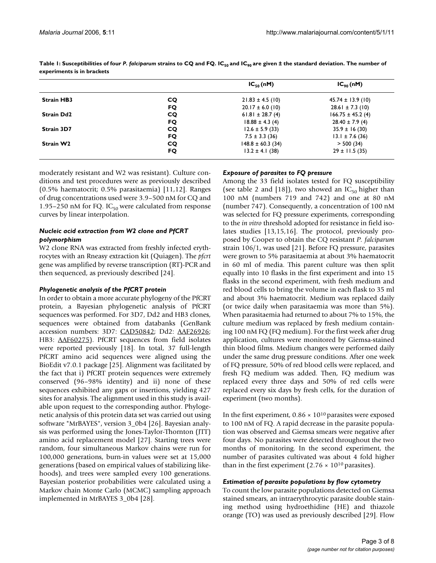|                   |    | $IC_{50}(nM)$         | $IC_{\varphi_0}(nM)$  |
|-------------------|----|-----------------------|-----------------------|
| <b>Strain HB3</b> | CQ | $21.83 \pm 4.5$ (10)  | $45.74 \pm 13.9$ (10) |
|                   | FQ | $20.17 \pm 6.0$ (10)  | $28.61 \pm 7.3$ (10)  |
| <b>Strain Dd2</b> | CQ | $61.81 \pm 28.7(4)$   | $166.75 \pm 45.2$ (4) |
|                   | FQ | $18.88 \pm 4.3$ (4)   | $28.40 \pm 7.9$ (4)   |
| Strain 3D7        | CQ | $12.6 \pm 5.9$ (33)   | $35.9 \pm 16(30)$     |
|                   | FQ | $7.5 \pm 3.3$ (36)    | $13.1 \pm 7.6$ (36)   |
| Strain W2         | CQ | $148.8 \pm 60.3$ (34) | > 500(34)             |
|                   | FQ | $13.2 \pm 4.1$ (38)   | $29 \pm 11.5(35)$     |

**Table 1: Susceptibilities of four** *P. falciparum* **strains to CQ and FQ. IC50 and IC90 are given ± the standard deviation. The number of experiments is in brackets**

moderately resistant and W2 was resistant). Culture conditions and test procedures were as previously described (0.5% haematocrit; 0.5% parasitaemia) [11,12]. Ranges of drug concentrations used were 3.9–500 nM for CQ and 1.95–250 nM for FQ. IC $_{50}$  were calculated from response curves by linear interpolation.

# *Nucleic acid extraction from W2 clone and PfCRT polymorphism*

W2 clone RNA was extracted from freshly infected erythrocytes with an Rneasy extraction kit (Quiagen). The *pfcrt* gene was amplified by reverse transcription (RT)-PCR and then sequenced, as previously described [24].

# *Phylogenetic analysis of the PfCRT protein*

In order to obtain a more accurate phylogeny of the PfCRT protein, a Bayesian phylogenetic analysis of PfCRT sequences was performed. For 3D7, Dd2 and HB3 clones, sequences were obtained from databanks (GenBank accession numbers: 3D7: [CAD50842](http://www.ncbi.nih.gov/entrez/query.fcgi?db=Nucleotide&cmd=search&term=CAD50842); Dd2: [AAF26926;](http://www.ncbi.nih.gov/entrez/query.fcgi?db=Nucleotide&cmd=search&term=AAF26926) HB3: [AAF60275\)](http://www.ncbi.nih.gov/entrez/query.fcgi?db=Nucleotide&cmd=search&term=AAF60275). PfCRT sequences from field isolates were reported previously [18]. In total, 37 full-length PfCRT amino acid sequences were aligned using the BioEdit v7.0.1 package [25]. Alignment was facilitated by the fact that i) PfCRT protein sequences were extremely conserved (96–98% identity) and ii) none of these sequences exhibited any gaps or insertions, yielding 427 sites for analysis. The alignment used in this study is available upon request to the corresponding author. Phylogenetic analysis of this protein data set was carried out using software "MrBAYES", version 3\_0b4 [26]. Bayesian analysis was performed using the Jones-Taylor-Thornton (JTT) amino acid replacement model [27]. Starting trees were random, four simultaneous Markov chains were run for 100,000 generations, burn-in values were set at 15,000 generations (based on empirical values of stabilizing likehoods), and trees were sampled every 100 generations. Bayesian posterior probabilities were calculated using a Markov chain Monte Carlo (MCMC) sampling approach implemented in MrBAYES 3\_0b4 [28].

# *Exposure of parasites to FQ pressure*

Among the 33 field isolates tested for FQ susceptibility (see table 2 and [18]), two showed an  $IC_{50}$  higher than 100 nM (numbers 719 and 742) and one at 80 nM (number 747). Consequently, a concentration of 100 nM was selected for FQ pressure experiments, corresponding to the *in vitro* threshold adopted for resistance in field isolates studies [13,15,16]. The protocol, previously proposed by Cooper to obtain the CQ resistant *P. falciparum* strain 106/1, was used [21]. Before FQ pressure, parasites were grown to 5% parasitaemia at about 3% haematocrit in 60 ml of media. This parent culture was then split equally into 10 flasks in the first experiment and into 15 flasks in the second experiment, with fresh medium and red blood cells to bring the volume in each flask to 35 ml and about 3% haematocrit. Medium was replaced daily (or twice daily when parasitaemia was more than 5%). When parasitaemia had returned to about 7% to 15%, the culture medium was replaced by fresh medium containing 100 nM FQ (FQ medium). For the first week after drug application, cultures were monitored by Giemsa-stained thin blood films. Medium changes were performed daily under the same drug pressure conditions. After one week of FQ pressure, 50% of red blood cells were replaced, and fresh FQ medium was added. Then, FQ medium was replaced every three days and 50% of red cells were replaced every six days by fresh cells, for the duration of experiment (two months).

In the first experiment,  $0.86 \times 10^{10}$  parasites were exposed to 100 nM of FQ. A rapid decrease in the parasite population was observed and Giemsa smears were negative after four days. No parasites were detected throughout the two months of monitoring. In the second experiment, the number of parasites cultivated was about 4 fold higher than in the first experiment (2.76  $\times$  10<sup>10</sup> parasites).

# *Estimation of parasite populations by flow cytometry*

To count the low parasite populations detected on Giemsa stained smears, an intraerythrocytic parasite double staining method using hydroethidine (HE) and thiazole orange (TO) was used as previously described [29]. Flow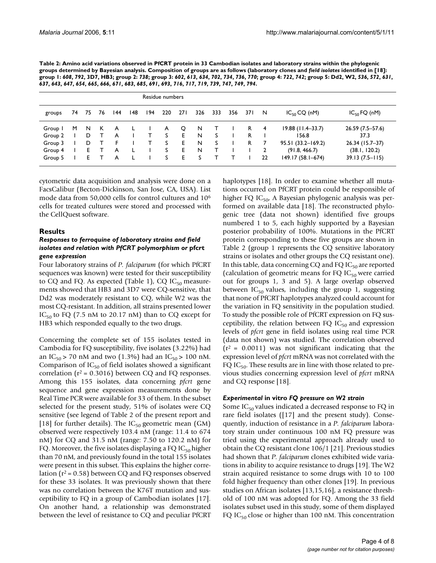| Table 2: Amino acid variations observed in PfCRT protein in 33 Cambodian isolates and laboratory strains within the phylogenic             |
|--------------------------------------------------------------------------------------------------------------------------------------------|
| groups determined by Bayesian analysis. Composition of groups are as follows (laboratory clones and field isolates identified in [18]:     |
| group 1: 608, 792, 3D7, HB3; group 2: 738; group 3: 602, 613, 634, 702, 734, 736, 770; group 4: 722, 742; group 5: Dd2, W2, 536, 572, 631, |
| 637, 643, 647, 654, 665, 666, 671, 683, 685, 691, 693, 716, 717, 719, 739, 747, 749, 794.                                                  |

| Residue numbers |    |     |    |     |     |     |     |     |     |     |     |      |    |                       |                    |
|-----------------|----|-----|----|-----|-----|-----|-----|-----|-----|-----|-----|------|----|-----------------------|--------------------|
| groups          | 74 | -75 | 76 | 144 | 148 | 194 | 220 | 271 | 326 | 333 | 356 | 37 I | N  | $IC_{50}$ CQ (nM)     | $IC_{50}$ FQ (nM)  |
| Group I         | M  | N.  | К  | A   |     |     | A   | Q   | N   | T   |     | R.   | 4  | $19.88$ (11.4–33.7)   | $26.59(7.5-57.6)$  |
| Group 2         |    | D   |    | A   |     | т   | S   | E.  | N   | S   |     | R    |    | 156.8                 | 37.3               |
| Group 3         |    | D   |    | F   |     |     | S.  | E.  | N   | s   |     | R    |    | $95.51(33.2 - 169.2)$ | 26.34 (15.7-37)    |
| Group 4         |    | E.  |    | A   |     |     | S   | E.  | N   |     |     |      |    | (91.8, 466.7)         | (38.1, 120.2)      |
| Group 5         |    | E.  |    | A   |     |     | S   | Е   | S   |     |     |      | 22 | $149.17(58.1 - 674)$  | $39.13(7.5 - 115)$ |

cytometric data acquisition and analysis were done on a FacsCalibur (Becton-Dickinson, San Jose, CA, USA). List mode data from 50,000 cells for control cultures and 10<sup>6</sup> cells for treated cultures were stored and processed with the CellQuest software.

# **Results**

## *Responses to ferroquine of laboratory strains and field isolates and relation with PfCRT polymorphism or* **pfcrt**  *gene expression*

Four laboratory strains of *P. falciparum* (for which PfCRT sequences was known) were tested for their susceptibility to CQ and FQ. As expected (Table 1), CQ  $IC_{50}$  measurements showed that HB3 and 3D7 were CQ-sensitive, that Dd2 was moderately resistant to CQ, while W2 was the most CQ-resistant. In addition, all strains presented lower  $IC_{50}$  to FQ (7.5 nM to 20.17 nM) than to CQ except for HB3 which responded equally to the two drugs.

Concerning the complete set of 155 isolates tested in Cambodia for FQ susceptibility, five isolates (3.22%) had an IC<sub>50</sub> > 70 nM and two (1.3%) had an IC<sub>50</sub> > 100 nM. Comparison of  $IC_{50}$  of field isolates showed a significant correlation ( $r^2$  = 0.3016) between CQ and FQ responses. Among this 155 isolates, data concerning *pfcrt* gene sequence and gene expression measurements done by Real Time PCR were available for 33 of them. In the subset selected for the present study, 51% of isolates were CQ sensitive (see legend of Table 2 of the present report and [18] for further details). The  $IC_{50}$  geometric mean (GM) observed were respectively 103.4 nM (range: 11.4 to 674 nM) for CQ and 31.5 nM (range: 7.50 to 120.2 nM) for FQ. Moreover, the five isolates displaying a FQ IC $_{50}$  higher than 70 nM, and previously found in the total 155 isolates were present in this subset. This explains the higher correlation ( $r^2$  = 0.58) between CQ and FQ responses observed for these 33 isolates. It was previously shown that there was no correlation between the K76T mutation and susceptibility to FQ in a group of Cambodian isolates [17]. On another hand, a relationship was demonstrated between the level of resistance to CQ and peculiar PfCRT

haplotypes [18]. In order to examine whether all mutations occurred on PfCRT protein could be responsible of higher FQ  $IC_{50}$ , A Bayesian phylogenic analysis was performed on available data [18]. The reconstructed phylogenic tree (data not shown) identified five groups numbered 1 to 5, each highly supported by a Bayesian posterior probability of 100%. Mutations in the PfCRT protein corresponding to these five groups are shown in Table 2 (group 1 represents the CQ sensitive laboratory strains or isolates and other groups the CQ resistant one). In this table, data concerning CQ and FQ  $IC_{50}$  are reported (calculation of geometric means for FQ  $IC_{50}$  were carried out for groups 1, 3 and 5). A large overlap observed between  $IC_{50}$  values, including the group 1, suggesting that none of PfCRT haplotypes analyzed could account for the variation in FQ sensitivity in the population studied. To study the possible role of PfCRT expression on FQ susceptibility, the relation between FQ  $IC_{50}$  and expression levels of *pfcrt* gene in field isolates using real time PCR (data not shown) was studied. The correlation observed  $(r^2 = 0.0011)$  was not significant indicating that the expression level of *pfcrt* mRNA was not correlated with the FQ IC $_{50}$ . These results are in line with those related to previous studies concerning expression level of *pfcrt* mRNA and CQ response [18].

# *Experimental* **in vitro** *FQ pressure on W2 strain*

Some  $IC_{50}$  values indicated a decreased response to FQ in rare field isolates ([17] and the present study). Consequently, induction of resistance in a *P. falciparum* laboratory strain under continuous 100 nM FQ pressure was tried using the experimental approach already used to obtain the CQ resistant clone 106/1 [21]. Previous studies had shown that *P. falciparum* clones exhibited wide variations in ability to acquire resistance to drugs [19]. The W2 strain acquired resistance to some drugs with 10 to 100 fold higher frequency than other clones [19]. In previous studies on African isolates [13,15,16], a resistance threshold of 100 nM was adopted for FQ. Among the 33 field isolates subset used in this study, some of them displayed FQ IC<sub>50</sub> close or higher than 100 nM. This concentration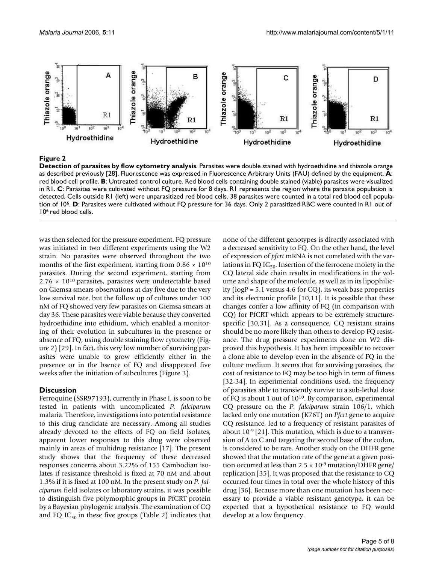

# **Figure 2**

**Detection of parasites by flow cytometry analysis**. Parasites were double stained with hydroethidine and thiazole orange as described previously [28]. Fluorescence was expressed in Fluorescence Arbitrary Units (FAU) defined by the equipment. **A**: red blood cell profile. **B**: Untreated control culture. Red blood cells containing double stained (viable) parasites were visualized in R1. **C**: Parasites were cultivated without FQ pressure for 8 days. R1 represents the region where the parasite population is detected. Cells outside R1 (left) were unparasitized red blood cells. 38 parasites were counted in a total red blood cell population of 10<sup>6</sup>. **D**: Parasites were cultivated without FQ pressure for 36 days. Only 2 parasitized RBC were counted in R1 out of 106 red blood cells.

was then selected for the pressure experiment. FQ pressure was initiated in two different experiments using the W2 strain. No parasites were observed throughout the two months of the first experiment, starting from  $0.86 \times 10^{10}$ parasites. During the second experiment, starting from  $2.76 \times 10^{10}$  parasites, parasites were undetectable based on Giemsa smears observations at day five due to the very low survival rate, but the follow up of cultures under 100 nM of FQ showed very few parasites on Giemsa smears at day 36. These parasites were viable because they converted hydroethidine into ethidium, which enabled a monitoring of their evolution in subcultures in the presence or absence of FQ, using double staining flow cytometry (Figure 2) [29]. In fact, this very low number of surviving parasites were unable to grow efficiently either in the presence or in the bsence of FQ and disappeared five weeks after the initiation of subcultures (Figure 3).

#### **Discussion**

Ferroquine (SSR97193), currently in Phase I, is soon to be tested in patients with uncomplicated *P. falciparum* malaria. Therefore, investigations into potential resistance to this drug candidate are necessary. Among all studies already devoted to the effects of FQ on field isolates, apparent lower responses to this drug were observed mainly in areas of multidrug resistance [17]. The present study shows that the frequency of these decreased responses concerns about 3.22% of 155 Cambodian isolates if resistance threshold is fixed at 70 nM and about 1.3% if it is fixed at 100 nM. In the present study on *P. falciparum* field isolates or laboratory strains, it was possible to distinguish five polymorphic groups in PfCRT protein by a Bayesian phylogenic analysis. The examination of CQ and FQ  $IC_{50}$  in these five groups (Table 2) indicates that none of the different genotypes is directly associated with a decreased sensitivity to FQ. On the other hand, the level of expression of *pfcrt* mRNA is not correlated with the variations in FQ IC $_{50}$ . Insertion of the ferrocene moiety in the CQ lateral side chain results in modifications in the volume and shape of the molecule, as well as in its lipophilicity (logP = 5.1 versus 4.6 for CQ), its weak base properties and its electronic profile [10,11]. It is possible that these changes confer a low affinity of FQ (in comparison with CQ) for PfCRT which appears to be extremely structurespecific [30,31]. As a consequence, CQ resistant strains should be no more likely than others to develop FQ resistance. The drug pressure experiments done on W2 disproved this hypothesis. It has been impossible to recover a clone able to develop even in the absence of FQ in the culture medium. It seems that for surviving parasites, the cost of resistance to FQ may be too high in term of fitness [32-34]. In experimental conditions used, the frequency of parasites able to transiently survive to a sub-lethal dose of FQ is about 1 out of 10<sup>10</sup>. By comparison, experimental CQ pressure on the *P. falciparum* strain 106/1, which lacked only one mutation (K76T) on *Pfcrt* gene to acquire CQ resistance, led to a frequency of resistant parasites of about 10-9 [21]. This mutation, which is due to a transversion of A to C and targeting the second base of the codon, is considered to be rare. Another study on the DHFR gene showed that the mutation rate of the gene at a given position occurred at less than  $2.5 \times 10^{-9}$  mutation/DHFR gene/ replication [35]. It was proposed that the resistance to CQ occurred four times in total over the whole history of this drug [36]. Because more than one mutation has been necessary to provide a viable resistant genotype, it can be expected that a hypothetical resistance to FQ would develop at a low frequency.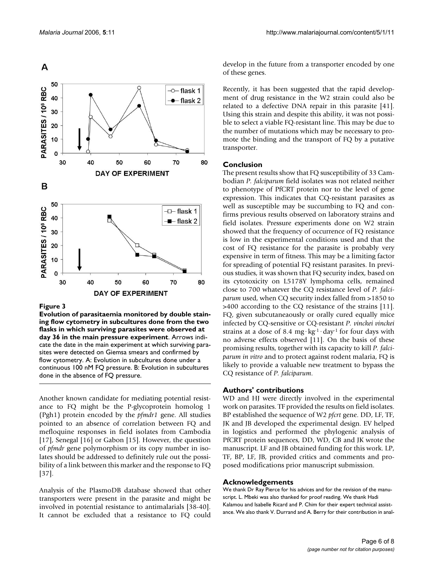

#### Figure 3

**Evolution of parasitaemia monitored by double staining flow cytometry in subcultures done from the two flasks in which surviving parasites were observed at day 36 in the main pressure experiment**. Arrows indicate the date in the main experiment at which surviving parasites were detected on Giemsa smears and confirmed by flow cytometry. A: Evolution in subcultures done under a continuous 100 nM FQ pressure. B: Evolution in subcultures done in the absence of FQ pressure.

Another known candidate for mediating potential resistance to FQ might be the P-glycoprotein homolog 1 (Pgh1) protein encoded by the *pfmdr1* gene. All studies pointed to an absence of correlation between FQ and mefloquine responses in field isolates from Cambodia [17], Senegal [16] or Gabon [15]. However, the question of *pfmdr* gene polymorphism or its copy number in isolates should be addressed to definitely rule out the possibility of a link between this marker and the response to FQ [37].

Analysis of the PlasmoDB database showed that other transporters were present in the parasite and might be involved in potential resistance to antimalarials [38-40]. It cannot be excluded that a resistance to FQ could develop in the future from a transporter encoded by one of these genes.

Recently, it has been suggested that the rapid development of drug resistance in the W2 strain could also be related to a defective DNA repair in this parasite [41]. Using this strain and despite this ability, it was not possible to select a viable FQ-resistant line. This may be due to the number of mutations which may be necessary to promote the binding and the transport of FQ by a putative transporter.

## **Conclusion**

The present results show that FQ susceptibility of 33 Cambodian *P. falciparum* field isolates was not related neither to phenotype of PfCRT protein nor to the level of gene expression. This indicates that CQ-resistant parasites as well as susceptible may be succumbing to FQ and confirms previous results observed on laboratory strains and field isolates. Pressure experiments done on W2 strain showed that the frequency of occurrence of FQ resistance is low in the experimental conditions used and that the cost of FQ resistance for the parasite is probably very expensive in term of fitness. This may be a limiting factor for spreading of potential FQ resistant parasites. In previous studies, it was shown that FQ security index, based on its cytotoxicity on L5178Y lymphoma cells, remained close to 700 whatever the CQ resistance level of *P. falciparum* used, when CQ security index falled from >1850 to >400 according to the CQ resistance of the strains [11]. FQ, given subcutaneaously or orally cured equally mice infected by CQ-sensitive or CQ-resistant *P. vinckei vinckei* strains at a dose of 8.4 mg·kg-1·day-1 for four days with no adverse effects observed [11]. On the basis of these promising results, together with its capacity to kill *P. falciparum in vitro* and to protect against rodent malaria, FQ is likely to provide a valuable new treatment to bypass the CQ resistance of *P. falciparum*.

## **Authors' contributions**

WD and HJ were directly involved in the experimental work on parasites. TF provided the results on field isolates. BP established the sequence of W2 *pfcrt* gene. DD, LF, TF, JK and JB developed the experimental design. EV helped in logistics and performed the phylogenic analysis of PfCRT protein sequences, DD, WD, CB and JK wrote the manuscript. LF and JB obtained funding for this work. LP, TF, BP, LF, JB, provided critics and comments and proposed modifications prior manuscript submission.

#### **Acknowledgements**

We thank Dr Ray Pierce for his advices and for the revision of the manuscript. L. Mbeki was also thanked for proof reading. We thank Hadi Kalamou and Isabelle Ricard and P. Chim for their expert technical assistance. We also thank V. Durrand and A. Berry for their contribution in anal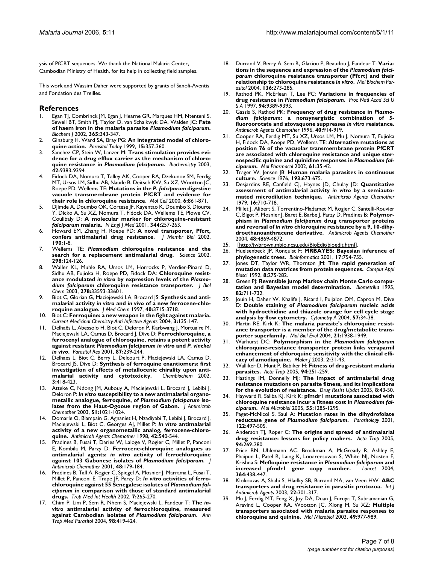ysis of PfCRT sequences. We thank the National Malaria Center, Cambodian Ministry of Health, for its help in collecting field samples.

This work and Wassim Daher were supported by grants of Sanofi-Aventis and Fondation des Treilles.

#### **References**

- Egan TJ, Combrinck JM, Egan J, Hearne GR, Marques HM, Ntenteni S, Sewell BT, Smith PJ, Taylor D, van Schalkwyk DA, Walden JC: **Fate of haem iron in the malaria parasite** *Plasmodium falciparum***[.](http://www.ncbi.nlm.nih.gov/entrez/query.fcgi?cmd=Retrieve&db=PubMed&dopt=Abstract&list_uids=12033986)** *Biochem J* 2002, **365:**343-347.
- 2. Ginsburg H, Ward SA, Bray PG: **[An integrated model of chloro](http://www.ncbi.nlm.nih.gov/entrez/query.fcgi?cmd=Retrieve&db=PubMed&dopt=Abstract&list_uids=10461161)[quine action.](http://www.ncbi.nlm.nih.gov/entrez/query.fcgi?cmd=Retrieve&db=PubMed&dopt=Abstract&list_uids=10461161)** *Parasitol Today* 1999, **15:**357-360.
- 3. Sanchez CP, Stein W, Lanzer M: **Trans stimulation provides evidence for a drug efflux carrier as the mechanism of chloroquine resistance in** *Plasmodium falciparum***[.](http://www.ncbi.nlm.nih.gov/entrez/query.fcgi?cmd=Retrieve&db=PubMed&dopt=Abstract&list_uids=12899625)** *Biochemistry* 2003, **42:**9383-9394.
- 4. Fidock DA, Nomura T, Talley AK, Cooper RA, Dzekunov SM, Ferdig MT, Ursos LM, Sidhu AB, Naude B, Deitsch KW, Su XZ, Wootton JC, Roepe PD, Wellems TE: **Mutations in the** *P. falciparum* **[digestive](http://www.ncbi.nlm.nih.gov/entrez/query.fcgi?cmd=Retrieve&db=PubMed&dopt=Abstract&list_uids=11090624) [vacuole transmembrane protein PfCRT and evidence for](http://www.ncbi.nlm.nih.gov/entrez/query.fcgi?cmd=Retrieve&db=PubMed&dopt=Abstract&list_uids=11090624) [their role in chloroquine resistance.](http://www.ncbi.nlm.nih.gov/entrez/query.fcgi?cmd=Retrieve&db=PubMed&dopt=Abstract&list_uids=11090624)** *Mol Cell* 2000, **6:**861-871.
- 5. Djimde A, Doumbo OK, Cortese JF, Kayentao K, Doumbo S, Diourte Y, Dicko A, Su XZ, Nomura T, Fidock DA, Wellems TE, Plowe CV, Coulibaly D: **A molecular marker for chloroquine-resistant** *falciparum* **[malaria.](http://www.ncbi.nlm.nih.gov/entrez/query.fcgi?cmd=Retrieve&db=PubMed&dopt=Abstract&list_uids=11172152)** *N Engl J Med* 2001, **344:**257-263.
- 6. Howard EM, Zhang H, Roepe PD: **[A novel transporter, Pfcrt,](http://www.ncbi.nlm.nih.gov/entrez/query.fcgi?cmd=Retrieve&db=PubMed&dopt=Abstract&list_uids=12422267) [confers antimalarial drug resistance.](http://www.ncbi.nlm.nih.gov/entrez/query.fcgi?cmd=Retrieve&db=PubMed&dopt=Abstract&list_uids=12422267)** *J Membr Biol* 2002, **190:**1-8.
- 7. Wellems TE: *Plasmodium* **[chloroquine resistance and the](http://www.ncbi.nlm.nih.gov/entrez/query.fcgi?cmd=Retrieve&db=PubMed&dopt=Abstract&list_uids=12364789) [search for a replacement antimalarial drug.](http://www.ncbi.nlm.nih.gov/entrez/query.fcgi?cmd=Retrieve&db=PubMed&dopt=Abstract&list_uids=12364789)** *Science* 2002, **298:**124-126.
- 8. Waller KL, Muhle RA, Ursos LM, Horrocks P, Verdier-Pinard D, Sidhu AB, Fujioka H, Roepe PD, Fidock DA: **Chloroquine resistance modulated** *in vitro* **by expression levels of the** *Plasmodium falciparum* **[chloroquine resistance transporter.](http://www.ncbi.nlm.nih.gov/entrez/query.fcgi?cmd=Retrieve&db=PubMed&dopt=Abstract&list_uids=12813054)** *J Biol Chem* 2003, **278:**33593-33601.
- 9. Biot C, Glorian G, Maciejewski LA, Brocard JS: **Synthesis and antimalarial activity** *in vitro* **and** *in vivo* **[of a new ferrocene-chlo](http://www.ncbi.nlm.nih.gov/entrez/query.fcgi?cmd=Retrieve&db=PubMed&dopt=Abstract&list_uids=9371235)[roquine analogue.](http://www.ncbi.nlm.nih.gov/entrez/query.fcgi?cmd=Retrieve&db=PubMed&dopt=Abstract&list_uids=9371235)** *J Med Chem* 1997, **40:**3715-3718.
- 10. Biot C: **Ferroquine: a new weapon in the fight against malaria.** *Current Medicinal Chemistry-Anti Infective Agents* 2004, **3:**135-147.
- 11. Delhaës L, Abessolo H, Biot C, Deloron P, Karbwang J, Mortuaire M, Maciejewski LA, Camus D, Brocard J, Dive D: **Ferrochloroquine, a ferrocenyl analogue of chloroquine, retains a potent activity against resistant** *Plasmodium falciparum in vitro* **and** *P. vinckei in vivo***[.](http://www.ncbi.nlm.nih.gov/entrez/query.fcgi?cmd=Retrieve&db=PubMed&dopt=Abstract&list_uids=11293573)** *Parasitol Res* 2001, **87:**239-244.
- 12. Delhaes L, Biot C, Berry L, Delcourt P, Maciejewski LA, Camus D, Brocard JS, Dive D: **[Synthesis of ferroquine enantiomers: first](http://www.ncbi.nlm.nih.gov/entrez/query.fcgi?cmd=Retrieve&db=PubMed&dopt=Abstract&list_uids=12007175) [investigation of effects of metallocenic chirality upon anti](http://www.ncbi.nlm.nih.gov/entrez/query.fcgi?cmd=Retrieve&db=PubMed&dopt=Abstract&list_uids=12007175)[malarial activity and cytotoxicity.](http://www.ncbi.nlm.nih.gov/entrez/query.fcgi?cmd=Retrieve&db=PubMed&dopt=Abstract&list_uids=12007175)** *Chembiochem* 2002, **3:**418-423.
- 13. Atteke C, Ndong JM, Aubouy A, Maciejewski L, Brocard J, Lebibi J, Deloron P: *In vitro* **susceptibility to a new antimalarial organometallic analogue, ferroquine, of** *Plasmodium falciparum* **[iso](http://www.ncbi.nlm.nih.gov/entrez/query.fcgi?cmd=Retrieve&db=PubMed&dopt=Abstract&list_uids=12654770)[lates from the Haut-Ogooue region of Gabon.](http://www.ncbi.nlm.nih.gov/entrez/query.fcgi?cmd=Retrieve&db=PubMed&dopt=Abstract&list_uids=12654770)** *J Antimicrob Chemother* 2003, **51:**1021-1024.
- 14. Domarle O, Blampain G, Agnaniet H, Nzadiyabi T, Lebibi J, Brocard J, Maciejewski L, Biot C, Georges AJ, Millet P: *In vitro* **[antimalarial](http://www.ncbi.nlm.nih.gov/entrez/query.fcgi?cmd=Retrieve&db=PubMed&dopt=Abstract&list_uids=9517929) [activity of a new organometallic analog, ferrocene-chloro](http://www.ncbi.nlm.nih.gov/entrez/query.fcgi?cmd=Retrieve&db=PubMed&dopt=Abstract&list_uids=9517929)[quine.](http://www.ncbi.nlm.nih.gov/entrez/query.fcgi?cmd=Retrieve&db=PubMed&dopt=Abstract&list_uids=9517929)** *Antimicrob Agents Chemother* 1998, **42:**540-544.
- Pradines B, Fusai T, Daries W, Laloge V, Rogier C, Millet P, Panconi E, Kombila M, Parzy D: **Ferrocene-chloroquine analogues as antimalarial agents:** *in vitro* **activity of ferrochloroquine against 103 Gabonese isolates of** *Plasmodium falciparum***[.](http://www.ncbi.nlm.nih.gov/entrez/query.fcgi?cmd=Retrieve&db=PubMed&dopt=Abstract&list_uids=11481286)** *J Antimicrob Chemother* 2001, **48:**179-184.
- Pradines B, Tall A, Rogier C, Spiegel A, Mosnier J, Marrama L, Fusai T, Millet P, Panconi E, Trape JF, Parzy D: *In vitro* **activities of ferrochloroquine against 55 Senegalese isolates of** *Plasmodium falciparum* **[in comparison with those of standard antimalarial](http://www.ncbi.nlm.nih.gov/entrez/query.fcgi?cmd=Retrieve&db=PubMed&dopt=Abstract&list_uids=11903989) [drugs.](http://www.ncbi.nlm.nih.gov/entrez/query.fcgi?cmd=Retrieve&db=PubMed&dopt=Abstract&list_uids=11903989)** *Trop Med Int Health* 2002, **7:**265-270.
- 17. Chim P, Lim P, Sem R, Nhem S, Maciejewski L, Fandeur T: **The** *invitro* **antimalarial activity of ferrochloroquine, measured against Cambodian isolates of** *Plasmodium falciparum***[.](http://www.ncbi.nlm.nih.gov/entrez/query.fcgi?cmd=Retrieve&db=PubMed&dopt=Abstract&list_uids=15228723)** *Ann Trop Med Parasitol* 2004, **98:**419-424.
- 18. Durrand V, Berry A, Sem R, Glaziou P, Beaudou J, Fandeur T: **Variations in the sequence and expression of the** *Plasmodium falciparum* **chloroquine resistance transporter (Pfcrt) and their relationship to chloroquine resistance** *in vitro***[.](http://www.ncbi.nlm.nih.gov/entrez/query.fcgi?cmd=Retrieve&db=PubMed&dopt=Abstract&list_uids=15478806)** *Mol Biochem Parasitol* 2004, **136:**273-285.
- 19. Rathod PK, McErlean T, Lee PC: **Variations in frequencies of drug resistance in** *Plasmodium falciparum***[.](http://www.ncbi.nlm.nih.gov/entrez/query.fcgi?cmd=Retrieve&db=PubMed&dopt=Abstract&list_uids=9256492)** *Proc Natl Acad Sci U S A* 1997, **94:**9389-9393.
- 20. Gassis S, Rathod PK: **Frequency of drug resistance in** *Plasmodium falciparum***: a nonsynergistic combination of 5 fluoroorotate and atovaquone suppresses** *in vitro* **[resistance.](http://www.ncbi.nlm.nih.gov/entrez/query.fcgi?cmd=Retrieve&db=PubMed&dopt=Abstract&list_uids=8849251)** *Antimicrob Agents Chemother* 1996, **40:**914-919.
- 21. Cooper RA, Ferdig MT, Su XZ, Ursos LM, Mu J, Nomura T, Fujioka H, Fidock DA, Roepe PD, Wellems TE: **Alternative mutations at position 76 of the vacuolar transmembrane protein PfCRT are associated with chloroquine resistance and unique stereospecific quinine and quinidine responses in** *Plasmodium falciparum***[.](http://www.ncbi.nlm.nih.gov/entrez/query.fcgi?cmd=Retrieve&db=PubMed&dopt=Abstract&list_uids=11752204)** *Mol Pharmacol* 2002, **61:**35-42.
- 22. Trager W, Jensen JB: **[Human malaria parasites in continuous](http://www.ncbi.nlm.nih.gov/entrez/query.fcgi?cmd=Retrieve&db=PubMed&dopt=Abstract&list_uids=781840) [culture.](http://www.ncbi.nlm.nih.gov/entrez/query.fcgi?cmd=Retrieve&db=PubMed&dopt=Abstract&list_uids=781840)** *Science* 1976, **193:**673-675.
- 23. Desjardins RE, Canfield CJ, Haynes JD, Chulay JD: **Quantitative assessment of antimalarial activity** *in vitro* **[by a semiauto](http://www.ncbi.nlm.nih.gov/entrez/query.fcgi?cmd=Retrieve&db=PubMed&dopt=Abstract&list_uids=394674)[mated microdilution technique.](http://www.ncbi.nlm.nih.gov/entrez/query.fcgi?cmd=Retrieve&db=PubMed&dopt=Abstract&list_uids=394674)** *Antimicrob Agents Chemother* 1979, **16:**710-718.
- 24. Millet J, Alibert S, Torrentino-Madamet M, Rogier C, Santelli-Rouvier C, Bigot P, Mosnier J, Baret E, Barbe J, Parzy D, Pradines B: **Polymorphism in** *Plasmodium falciparum* **drug transporter proteins and reversal of** *in vitro* **[chloroquine resistance by a 9, 10-dihy](http://www.ncbi.nlm.nih.gov/entrez/query.fcgi?cmd=Retrieve&db=PubMed&dopt=Abstract&list_uids=15561869)[droethanoanthracene derivative.](http://www.ncbi.nlm.nih.gov/entrez/query.fcgi?cmd=Retrieve&db=PubMed&dopt=Abstract&list_uids=15561869)** *Antimicrob Agents Chemother* 2004, **48:**4869-4872.
- 25. [[http://jwbrown.mbio.ncsu.edu/BioEdit/bioedit.html\]](http://jwbrown.mbio.ncsu.edu/BioEdit/bioedit.html).
- 26. Huelsenbeck JP, Ronquist F: **[MRBAYES: Bayesian inference of](http://www.ncbi.nlm.nih.gov/entrez/query.fcgi?cmd=Retrieve&db=PubMed&dopt=Abstract&list_uids=11524383) [phylogenetic trees.](http://www.ncbi.nlm.nih.gov/entrez/query.fcgi?cmd=Retrieve&db=PubMed&dopt=Abstract&list_uids=11524383)** *Bioinformatics* 2001, **17:**754-755.
- 27. Jones DT, Taylor WR, Thornton JM: **[The rapid generation of](http://www.ncbi.nlm.nih.gov/entrez/query.fcgi?cmd=Retrieve&db=PubMed&dopt=Abstract&list_uids=1633570) [mutation data matrices from protein sequences.](http://www.ncbi.nlm.nih.gov/entrez/query.fcgi?cmd=Retrieve&db=PubMed&dopt=Abstract&list_uids=1633570)** *Comput Appl Biosci* 1992, **8:**275-282.
- 28. Green PJ: **Reversible jump Markov chain Monte Carlo computation and Bayesian model determination.** *Biometrika* 1995, **82:**711-732.
- 29. Jouin H, Daher W, Khalife J, Ricard I, Puijalon OM, Capron M, Dive D: **Double staining of** *Plasmodium falciparum* **[nucleic acids](http://www.ncbi.nlm.nih.gov/entrez/query.fcgi?cmd=Retrieve&db=PubMed&dopt=Abstract&list_uids=14699603) [with hydroethidine and thiazole orange for cell cycle stage](http://www.ncbi.nlm.nih.gov/entrez/query.fcgi?cmd=Retrieve&db=PubMed&dopt=Abstract&list_uids=14699603) [analysis by flow cytometry.](http://www.ncbi.nlm.nih.gov/entrez/query.fcgi?cmd=Retrieve&db=PubMed&dopt=Abstract&list_uids=14699603)** *Cytometry A* 2004, **57:**34-38.
- 30. Martin RE, Kirk K: **[The malaria parasite's chloroquine resist](http://www.ncbi.nlm.nih.gov/entrez/query.fcgi?cmd=Retrieve&db=PubMed&dopt=Abstract&list_uids=15240840)[ance transporter is a member of the drug/metabolite trans](http://www.ncbi.nlm.nih.gov/entrez/query.fcgi?cmd=Retrieve&db=PubMed&dopt=Abstract&list_uids=15240840)[porter superfamily.](http://www.ncbi.nlm.nih.gov/entrez/query.fcgi?cmd=Retrieve&db=PubMed&dopt=Abstract&list_uids=15240840)** *Mol Biol Evol* 2004, **21:**1938-1949.
- 31. Warhurst DC: **Polymorphism in the** *Plasmodium falciparum* **chloroquine-resistance transporter protein links verapamil [enhancement of chloroquine sensitivity with the clinical effi](http://www.ncbi.nlm.nih.gov/entrez/query.fcgi?cmd=Retrieve&db=PubMed&dopt=Abstract&list_uids=14599295)[cacy of amodiaquine.](http://www.ncbi.nlm.nih.gov/entrez/query.fcgi?cmd=Retrieve&db=PubMed&dopt=Abstract&list_uids=14599295)** *Malar J* 2003, **2:**31-43.
- 32. Walliker D, Hunt P, Babiker H: **[Fitness of drug-resistant malaria](http://www.ncbi.nlm.nih.gov/entrez/query.fcgi?cmd=Retrieve&db=PubMed&dopt=Abstract&list_uids=15845348) [parasites.](http://www.ncbi.nlm.nih.gov/entrez/query.fcgi?cmd=Retrieve&db=PubMed&dopt=Abstract&list_uids=15845348)** *Acta Trop* 2005, **94:**251-259.
- 33. Hastings IM, Donnelly MJ: **[The impact of antimalarial drug](http://www.ncbi.nlm.nih.gov/entrez/query.fcgi?cmd=Retrieve&db=PubMed&dopt=Abstract&list_uids=15939341) [resistance mutations on parasite fitness, and its implications](http://www.ncbi.nlm.nih.gov/entrez/query.fcgi?cmd=Retrieve&db=PubMed&dopt=Abstract&list_uids=15939341) [for the evolution of resistance.](http://www.ncbi.nlm.nih.gov/entrez/query.fcgi?cmd=Retrieve&db=PubMed&dopt=Abstract&list_uids=15939341)** *Drug Resist Updat* 2005, **8:**43-50.
- 34. Hayward R, Saliba KJ, Kirk K: **pfmdr1 mutations associated with chloroquine resistance incur a fitness cost in** *Plasmodium falciparum***[.](http://www.ncbi.nlm.nih.gov/entrez/query.fcgi?cmd=Retrieve&db=PubMed&dopt=Abstract&list_uids=15686571)** *Mol Microbiol* 2005, **55:**1285-1295.
- 35. Paget-McNicol S, Saul A: **Mutation rates in the dihydrofolate reductase gene of** *Plasmodium falciparum***[.](http://www.ncbi.nlm.nih.gov/entrez/query.fcgi?cmd=Retrieve&db=PubMed&dopt=Abstract&list_uids=11393822)** *Parasitology* 2001, **122:**497-505.
- 36. Anderson TJ, Roper C: **[The origins and spread of antimalarial](http://www.ncbi.nlm.nih.gov/entrez/query.fcgi?cmd=Retrieve&db=PubMed&dopt=Abstract&list_uids=15878153) [drug resistance: lessons for policy makers.](http://www.ncbi.nlm.nih.gov/entrez/query.fcgi?cmd=Retrieve&db=PubMed&dopt=Abstract&list_uids=15878153)** *Acta Trop* 2005, **94:**269-280.
- 37. Price RN, Uhlemann AC, Brockman A, McGready R, Ashley E, Phaipun L, Patel R, Laing K, Looareesuwan S, White NJ, Nosten F, Krishna S: **Mefloquine resistance in** *Plasmodium falciparum* **[and](http://www.ncbi.nlm.nih.gov/entrez/query.fcgi?cmd=Retrieve&db=PubMed&dopt=Abstract&list_uids=15288742)** increased pfmdrl gene copy number. **364:**438-447.
- 38. Klokouzas A, Shahi S, Hladky SB, Barrand MA, van Veen HW: **[ABC](http://www.ncbi.nlm.nih.gov/entrez/query.fcgi?cmd=Retrieve&db=PubMed&dopt=Abstract&list_uids=13678838) [transporters and drug resistance in parasitic protozoa.](http://www.ncbi.nlm.nih.gov/entrez/query.fcgi?cmd=Retrieve&db=PubMed&dopt=Abstract&list_uids=13678838)** *Int J Antimicrob Agents* 2003, **22:**301-317.
- 39. Mu J, Ferdig MT, Feng X, Joy DA, Duan J, Furuya T, Subramanian G, Aravind L, Cooper RA, Wootton JC, Xiong M, Su XZ: **[Multiple](http://www.ncbi.nlm.nih.gov/entrez/query.fcgi?cmd=Retrieve&db=PubMed&dopt=Abstract&list_uids=12890022) [transporters associated with malaria parasite responses to](http://www.ncbi.nlm.nih.gov/entrez/query.fcgi?cmd=Retrieve&db=PubMed&dopt=Abstract&list_uids=12890022) [chloroquine and quinine.](http://www.ncbi.nlm.nih.gov/entrez/query.fcgi?cmd=Retrieve&db=PubMed&dopt=Abstract&list_uids=12890022)** *Mol Microbiol* 2003, **49:**977-989.